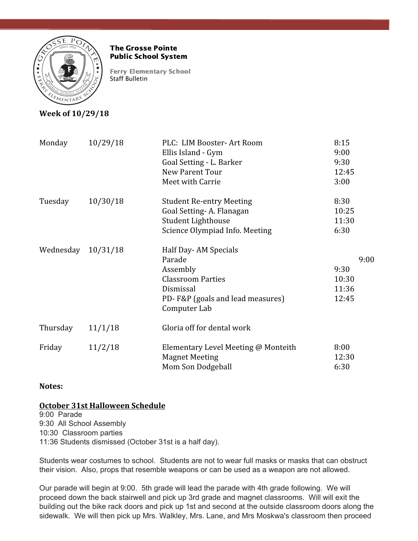

#### The Grosse Pointe Public School System

Ferry Elementary School Staff Bulletin

# **Week of 10/29/18**

| Monday             | 10/29/18 | PLC: LIM Booster-Art Room<br>Ellis Island - Gym<br>Goal Setting - L. Barker<br>New Parent Tour<br>Meet with Carrie                      | 8:15<br>9:00<br>9:30<br>12:45<br>3:00   |
|--------------------|----------|-----------------------------------------------------------------------------------------------------------------------------------------|-----------------------------------------|
| Tuesday            | 10/30/18 | <b>Student Re-entry Meeting</b><br>Goal Setting-A. Flanagan<br>Student Lighthouse<br>Science Olympiad Info. Meeting                     | 8:30<br>10:25<br>11:30<br>6:30          |
| Wednesday 10/31/18 |          | Half Day-AM Specials<br>Parade<br>Assembly<br><b>Classroom Parties</b><br>Dismissal<br>PD-F&P (goals and lead measures)<br>Computer Lab | 9:00<br>9:30<br>10:30<br>11:36<br>12:45 |
| Thursday           | 11/1/18  | Gloria off for dental work                                                                                                              |                                         |
| Friday             | 11/2/18  | Elementary Level Meeting @ Monteith<br><b>Magnet Meeting</b><br>Mom Son Dodgeball                                                       | 8:00<br>12:30<br>6:30                   |

### **Notes:**

### **October 31st Halloween Schedule**

9:00 Parade 9:30 All School Assembly 10:30 Classroom parties 11:36 Students dismissed (October 31st is a half day).

Students wear costumes to school. Students are not to wear full masks or masks that can obstruct their vision. Also, props that resemble weapons or can be used as a weapon are not allowed.

Our parade will begin at 9:00. 5th grade will lead the parade with 4th grade following. We will proceed down the back stairwell and pick up 3rd grade and magnet classrooms. Will will exit the building out the bike rack doors and pick up 1st and second at the outside classroom doors along the sidewalk. We will then pick up Mrs. Walkley, Mrs. Lane, and Mrs Moskwa's classroom then proceed